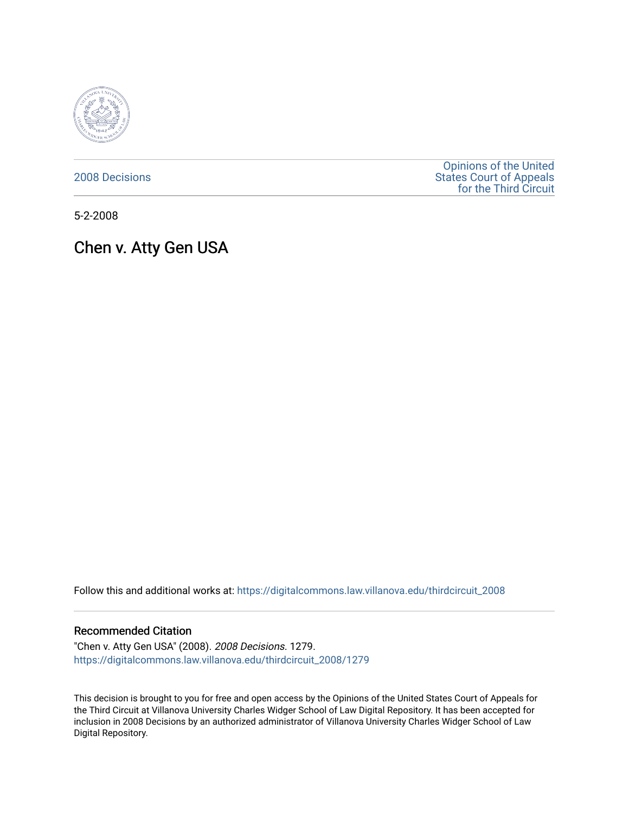

[2008 Decisions](https://digitalcommons.law.villanova.edu/thirdcircuit_2008)

[Opinions of the United](https://digitalcommons.law.villanova.edu/thirdcircuit)  [States Court of Appeals](https://digitalcommons.law.villanova.edu/thirdcircuit)  [for the Third Circuit](https://digitalcommons.law.villanova.edu/thirdcircuit) 

5-2-2008

# Chen v. Atty Gen USA

Follow this and additional works at: [https://digitalcommons.law.villanova.edu/thirdcircuit\\_2008](https://digitalcommons.law.villanova.edu/thirdcircuit_2008?utm_source=digitalcommons.law.villanova.edu%2Fthirdcircuit_2008%2F1279&utm_medium=PDF&utm_campaign=PDFCoverPages) 

#### Recommended Citation

"Chen v. Atty Gen USA" (2008). 2008 Decisions. 1279. [https://digitalcommons.law.villanova.edu/thirdcircuit\\_2008/1279](https://digitalcommons.law.villanova.edu/thirdcircuit_2008/1279?utm_source=digitalcommons.law.villanova.edu%2Fthirdcircuit_2008%2F1279&utm_medium=PDF&utm_campaign=PDFCoverPages) 

This decision is brought to you for free and open access by the Opinions of the United States Court of Appeals for the Third Circuit at Villanova University Charles Widger School of Law Digital Repository. It has been accepted for inclusion in 2008 Decisions by an authorized administrator of Villanova University Charles Widger School of Law Digital Repository.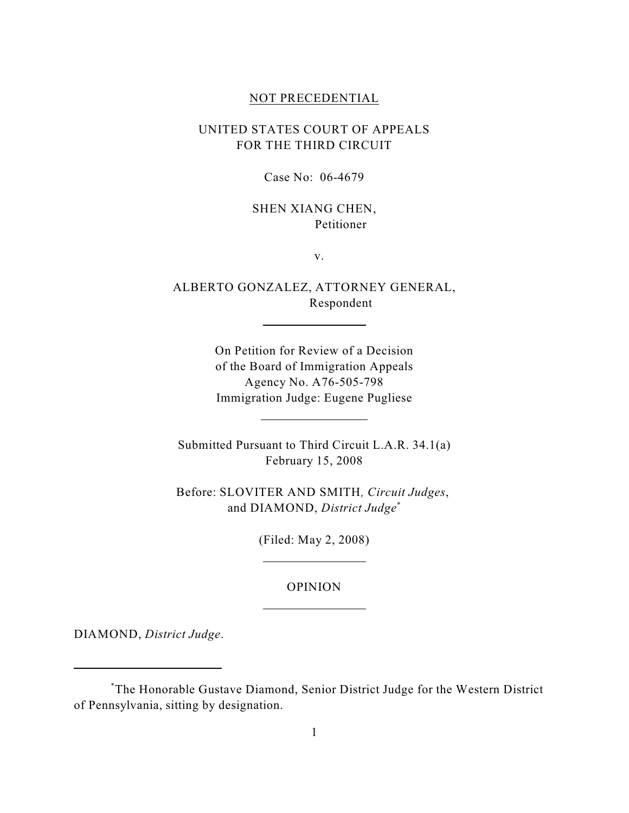#### NOT PRECEDENTIAL

# UNITED STATES COURT OF APPEALS FOR THE THIRD CIRCUIT

Case No: 06-4679

## SHEN XIANG CHEN, Petitioner

v.

ALBERTO GONZALEZ, ATTORNEY GENERAL, Respondent

 $\overline{a}$ 

 $\overline{a}$ 

 $\overline{a}$ 

 $\overline{a}$ 

On Petition for Review of a Decision of the Board of Immigration Appeals Agency No. A76-505-798 Immigration Judge: Eugene Pugliese

Submitted Pursuant to Third Circuit L.A.R. 34.1(a) February 15, 2008

Before: SLOVITER AND SMITH*, Circuit Judges*, and DIAMOND, *District Judge*\*

(Filed: May 2, 2008)

### OPINION

DIAMOND, *District Judge*.

The Honorable Gustave Diamond, Senior District Judge for the Western District \* of Pennsylvania, sitting by designation.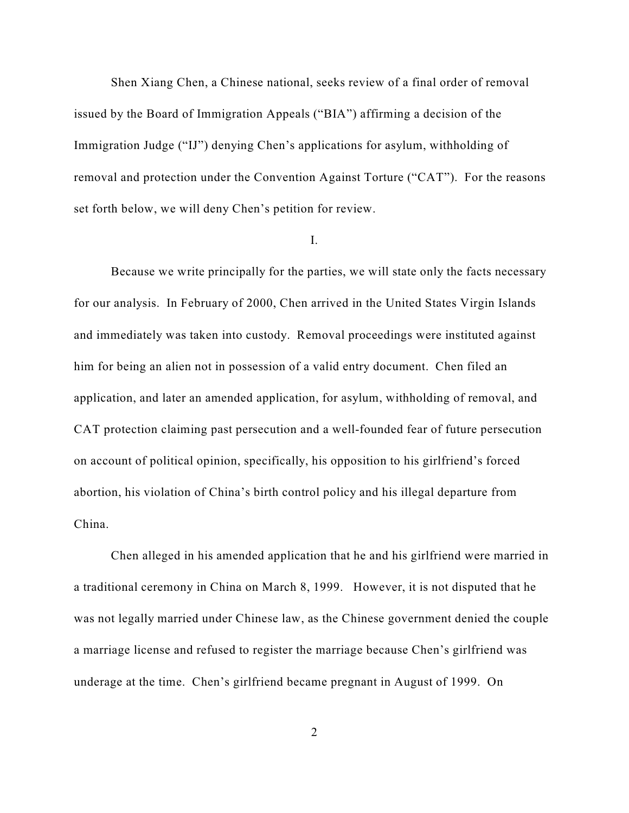Shen Xiang Chen, a Chinese national, seeks review of a final order of removal issued by the Board of Immigration Appeals ("BIA") affirming a decision of the Immigration Judge ("IJ") denying Chen's applications for asylum, withholding of removal and protection under the Convention Against Torture ("CAT"). For the reasons set forth below, we will deny Chen's petition for review.

## I.

Because we write principally for the parties, we will state only the facts necessary for our analysis. In February of 2000, Chen arrived in the United States Virgin Islands and immediately was taken into custody. Removal proceedings were instituted against him for being an alien not in possession of a valid entry document. Chen filed an application, and later an amended application, for asylum, withholding of removal, and CAT protection claiming past persecution and a well-founded fear of future persecution on account of political opinion, specifically, his opposition to his girlfriend's forced abortion, his violation of China's birth control policy and his illegal departure from China.

Chen alleged in his amended application that he and his girlfriend were married in a traditional ceremony in China on March 8, 1999. However, it is not disputed that he was not legally married under Chinese law, as the Chinese government denied the couple a marriage license and refused to register the marriage because Chen's girlfriend was underage at the time. Chen's girlfriend became pregnant in August of 1999. On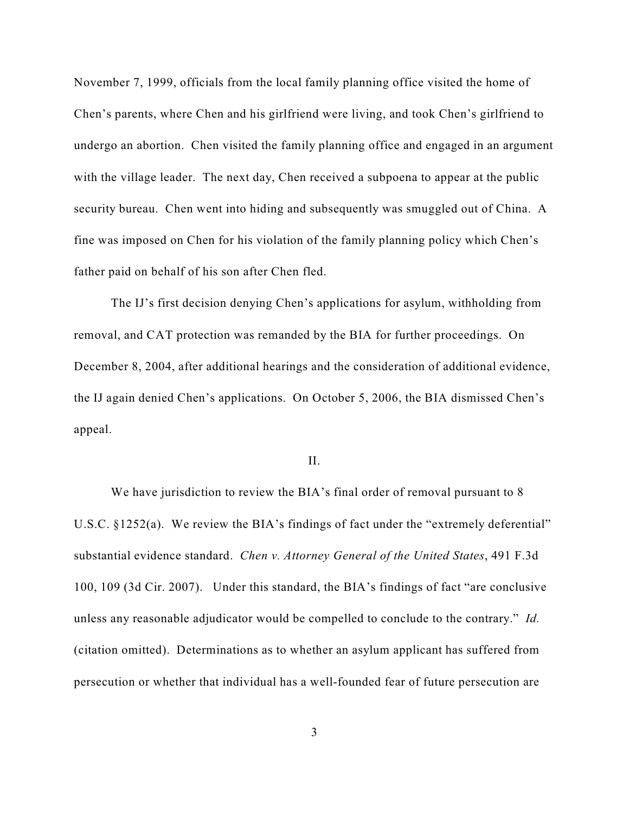November 7, 1999, officials from the local family planning office visited the home of Chen's parents, where Chen and his girlfriend were living, and took Chen's girlfriend to undergo an abortion. Chen visited the family planning office and engaged in an argument with the village leader. The next day, Chen received a subpoena to appear at the public security bureau. Chen went into hiding and subsequently was smuggled out of China. A fine was imposed on Chen for his violation of the family planning policy which Chen's father paid on behalf of his son after Chen fled.

The IJ's first decision denying Chen's applications for asylum, withholding from removal, and CAT protection was remanded by the BIA for further proceedings. On December 8, 2004, after additional hearings and the consideration of additional evidence, the IJ again denied Chen's applications. On October 5, 2006, the BIA dismissed Chen's appeal.

II.

We have jurisdiction to review the BIA's final order of removal pursuant to 8 U.S.C. §1252(a). We review the BIA's findings of fact under the "extremely deferential" substantial evidence standard. *Chen v. Attorney General of the United States*, 491 F.3d 100, 109 (3d Cir. 2007). Under this standard, the BIA's findings of fact "are conclusive unless any reasonable adjudicator would be compelled to conclude to the contrary." *Id.* (citation omitted). Determinations as to whether an asylum applicant has suffered from persecution or whether that individual has a well-founded fear of future persecution are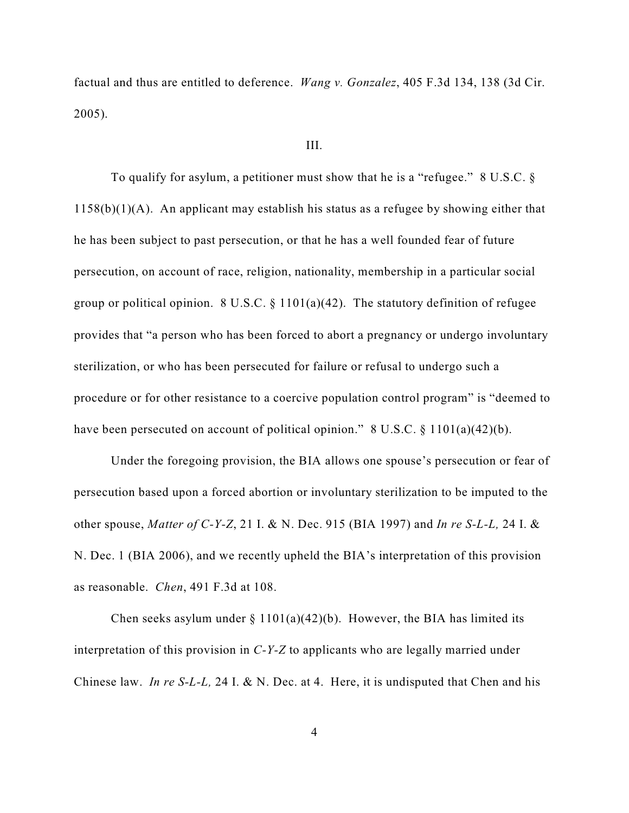factual and thus are entitled to deference. *Wang v. Gonzalez*, 405 F.3d 134, 138 (3d Cir. 2005).

#### III.

To qualify for asylum, a petitioner must show that he is a "refugee." 8 U.S.C. §  $1158(b)(1)(A)$ . An applicant may establish his status as a refugee by showing either that he has been subject to past persecution, or that he has a well founded fear of future persecution, on account of race, religion, nationality, membership in a particular social group or political opinion. 8 U.S.C.  $\S 1101(a)(42)$ . The statutory definition of refugee provides that "a person who has been forced to abort a pregnancy or undergo involuntary sterilization, or who has been persecuted for failure or refusal to undergo such a procedure or for other resistance to a coercive population control program" is "deemed to have been persecuted on account of political opinion." 8 U.S.C. § 1101(a)(42)(b).

Under the foregoing provision, the BIA allows one spouse's persecution or fear of persecution based upon a forced abortion or involuntary sterilization to be imputed to the other spouse, *Matter of C-Y-Z*, 21 I. & N. Dec. 915 (BIA 1997) and *In re S-L-L,* 24 I. & N. Dec. 1 (BIA 2006), and we recently upheld the BIA's interpretation of this provision as reasonable. *Chen*, 491 F.3d at 108.

Chen seeks asylum under  $\S 1101(a)(42)(b)$ . However, the BIA has limited its interpretation of this provision in *C-Y-Z* to applicants who are legally married under Chinese law. *In re S-L-L,* 24 I. & N. Dec. at 4. Here, it is undisputed that Chen and his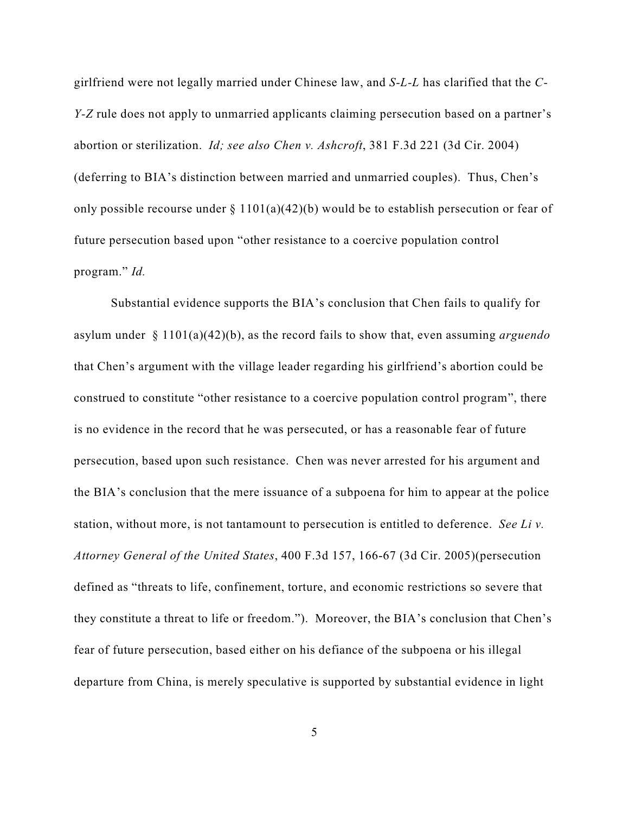girlfriend were not legally married under Chinese law, and *S-L-L* has clarified that the *C-Y-Z* rule does not apply to unmarried applicants claiming persecution based on a partner's abortion or sterilization. *Id; see also Chen v. Ashcroft*, 381 F.3d 221 (3d Cir. 2004) (deferring to BIA's distinction between married and unmarried couples).Thus, Chen's only possible recourse under  $\S 1101(a)(42)(b)$  would be to establish persecution or fear of future persecution based upon "other resistance to a coercive population control program." *Id.*

Substantial evidence supports the BIA's conclusion that Chen fails to qualify for asylum under § 1101(a)(42)(b), as the record fails to show that, even assuming *arguendo* that Chen's argument with the village leader regarding his girlfriend's abortion could be construed to constitute "other resistance to a coercive population control program", there is no evidence in the record that he was persecuted, or has a reasonable fear of future persecution, based upon such resistance. Chen was never arrested for his argument and the BIA's conclusion that the mere issuance of a subpoena for him to appear at the police station, without more, is not tantamount to persecution is entitled to deference. *See Li v. Attorney General of the United States*, 400 F.3d 157, 166-67 (3d Cir. 2005)(persecution defined as "threats to life, confinement, torture, and economic restrictions so severe that they constitute a threat to life or freedom."). Moreover, the BIA's conclusion that Chen's fear of future persecution, based either on his defiance of the subpoena or his illegal departure from China, is merely speculative is supported by substantial evidence in light